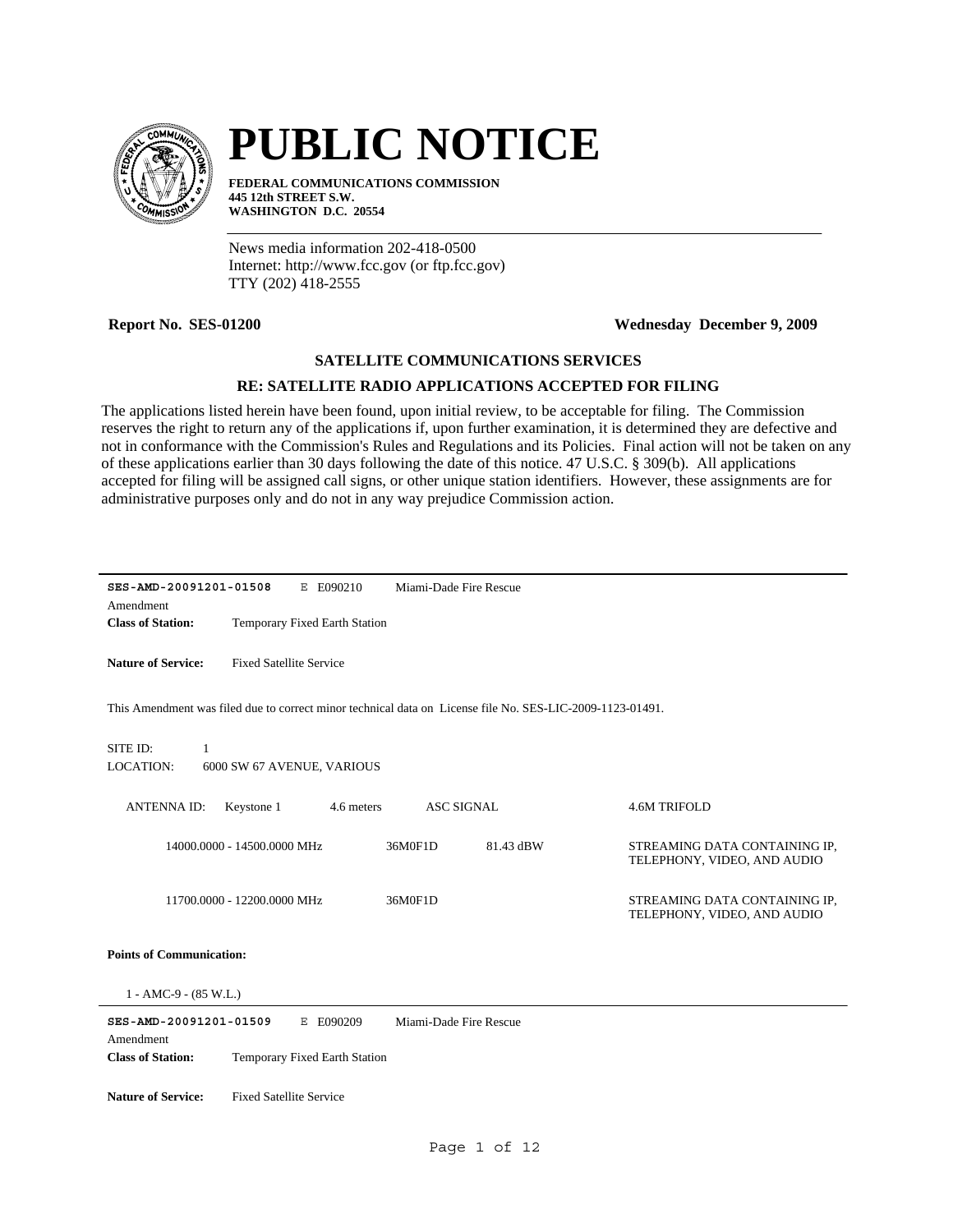

# **PUBLIC NOTICE**

**FEDERAL COMMUNICATIONS COMMISSION 445 12th STREET S.W. WASHINGTON D.C. 20554**

News media information 202-418-0500 Internet: http://www.fcc.gov (or ftp.fcc.gov) TTY (202) 418-2555

## **Report No. SES-01200 Wednesday December 9, 2009**

## **SATELLITE COMMUNICATIONS SERVICES**

## **RE: SATELLITE RADIO APPLICATIONS ACCEPTED FOR FILING**

The applications listed herein have been found, upon initial review, to be acceptable for filing. The Commission reserves the right to return any of the applications if, upon further examination, it is determined they are defective and not in conformance with the Commission's Rules and Regulations and its Policies. Final action will not be taken on any of these applications earlier than 30 days following the date of this notice. 47 U.S.C. § 309(b). All applications accepted for filing will be assigned call signs, or other unique station identifiers. However, these assignments are for administrative purposes only and do not in any way prejudice Commission action.

| SES-AMD-20091201-01508<br>E E090210                                                                       | Miami-Dade Fire Rescue |                                                              |
|-----------------------------------------------------------------------------------------------------------|------------------------|--------------------------------------------------------------|
| Amendment                                                                                                 |                        |                                                              |
| <b>Class of Station:</b><br>Temporary Fixed Earth Station                                                 |                        |                                                              |
| <b>Nature of Service:</b><br><b>Fixed Satellite Service</b>                                               |                        |                                                              |
| This Amendment was filed due to correct minor technical data on License file No. SES-LIC-2009-1123-01491. |                        |                                                              |
| SITE ID:<br>$\mathbf{1}$<br>LOCATION:<br>6000 SW 67 AVENUE, VARIOUS                                       |                        |                                                              |
| Keystone 1<br><b>ANTENNA ID:</b><br>4.6 meters                                                            | <b>ASC SIGNAL</b>      | <b>4.6M TRIFOLD</b>                                          |
| 14000.0000 - 14500.0000 MHz                                                                               | 36M0F1D<br>81.43 dBW   | STREAMING DATA CONTAINING IP,<br>TELEPHONY, VIDEO, AND AUDIO |
| 11700.0000 - 12200.0000 MHz                                                                               | 36M0F1D                | STREAMING DATA CONTAINING IP,<br>TELEPHONY, VIDEO, AND AUDIO |
| <b>Points of Communication:</b>                                                                           |                        |                                                              |
| $1 - AMC-9 - (85 W.L.)$                                                                                   |                        |                                                              |
| SES-AMD-20091201-01509<br>E E090209<br>Amendment                                                          | Miami-Dade Fire Rescue |                                                              |
| <b>Class of Station:</b><br>Temporary Fixed Earth Station                                                 |                        |                                                              |
| <b>Nature of Service:</b><br><b>Fixed Satellite Service</b>                                               |                        |                                                              |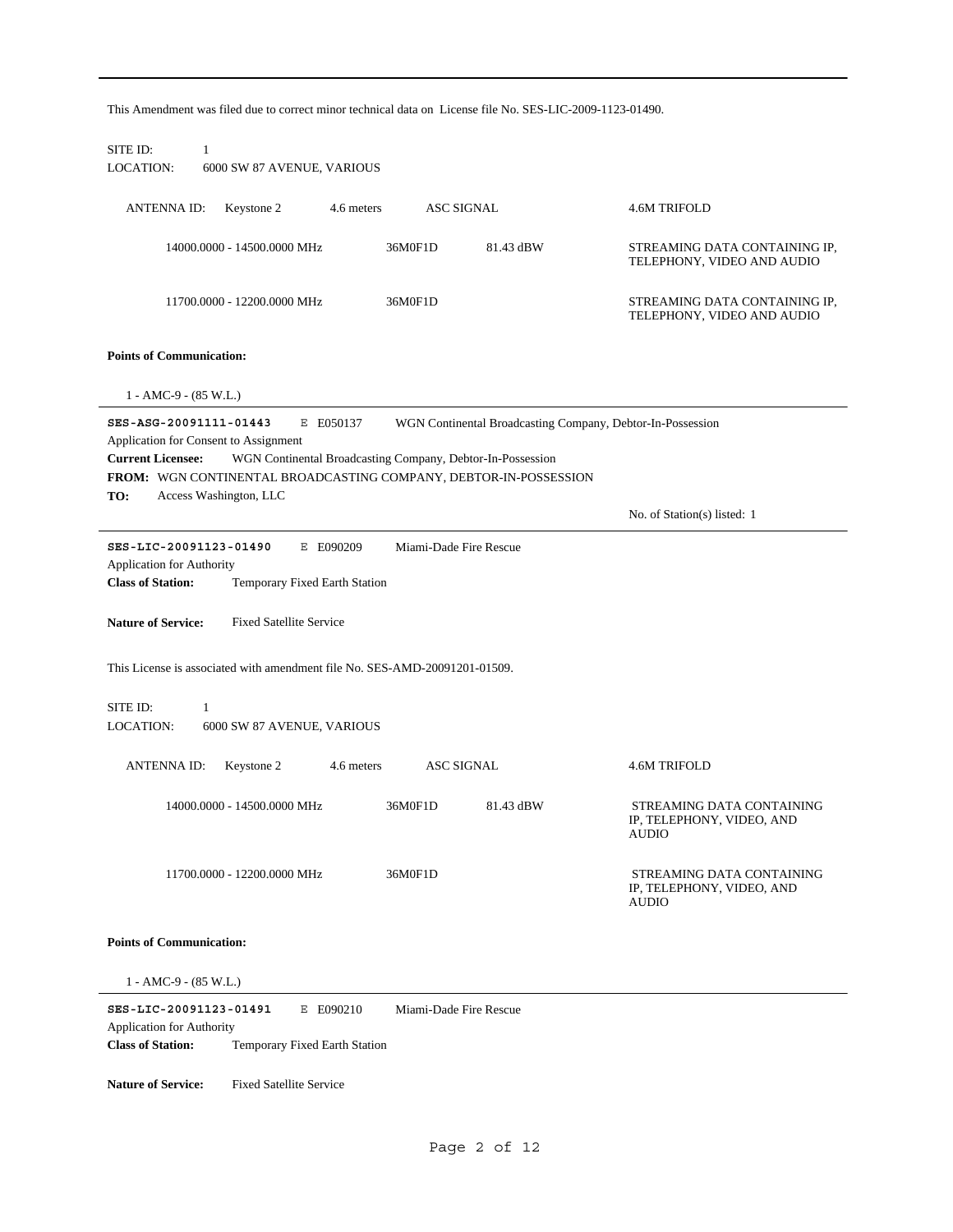This Amendment was filed due to correct minor technical data on License file No. SES-LIC-2009-1123-01490. SITE ID: 1 LOCATION: 6000 SW 87 AVENUE, VARIOUS ANTENNA ID: Keystone 2 4.6 meters ASC SIGNAL 4.6M TRIFOLD 81.43 dBW STREAMING DATA CONTAINING IP, TELEPHONY, VIDEO AND AUDIO 14000.0000 - 14500.0000 MHz 36M0F1D STREAMING DATA CONTAINING IP, TELEPHONY, VIDEO AND AUDIO 11700.0000 - 12200.0000 MHz 36M0F1D **Points of Communication:** 1 - AMC-9 - (85 W.L.) **SES-ASG-20091111-01443** E E050137 **TO:** No. of Station(s) listed: 1 **FROM:** WGN CONTINENTAL BROADCASTING COMPANY, DEBTOR-IN-POSSESSION **Current Licensee:** Access Washington, LLC WGN Continental Broadcasting Company, Debtor-In-Possession Application for Consent to Assignment WGN Continental Broadcasting Company, Debtor-In-Possession **SES-LIC-20091123-01490** E E090209 **Class of Station:** Temporary Fixed Earth Station Application for Authority Miami-Dade Fire Rescue **Nature of Service:** Fixed Satellite Service This License is associated with amendment file No. SES-AMD-20091201-01509. SITE ID: 1 LOCATION: 6000 SW 87 AVENUE, VARIOUS ANTENNA ID: Keystone 2 4.6 meters ASC SIGNAL 4.6M TRIFOLD 81.43 dBW STREAMING DATA CONTAINING IP, TELEPHONY, VIDEO, AND AUDIO 14000.0000 - 14500.0000 MHz 36M0F1D STREAMING DATA CONTAINING IP, TELEPHONY, VIDEO, AND AUDIO 11700.0000 - 12200.0000 MHz 36M0F1D **Points of Communication:**

1 - AMC-9 - (85 W.L.)

**SES-LIC-20091123-01491** E E090210 **Class of Station:** Temporary Fixed Earth Station Application for Authority Miami-Dade Fire Rescue

**Nature of Service:** Fixed Satellite Service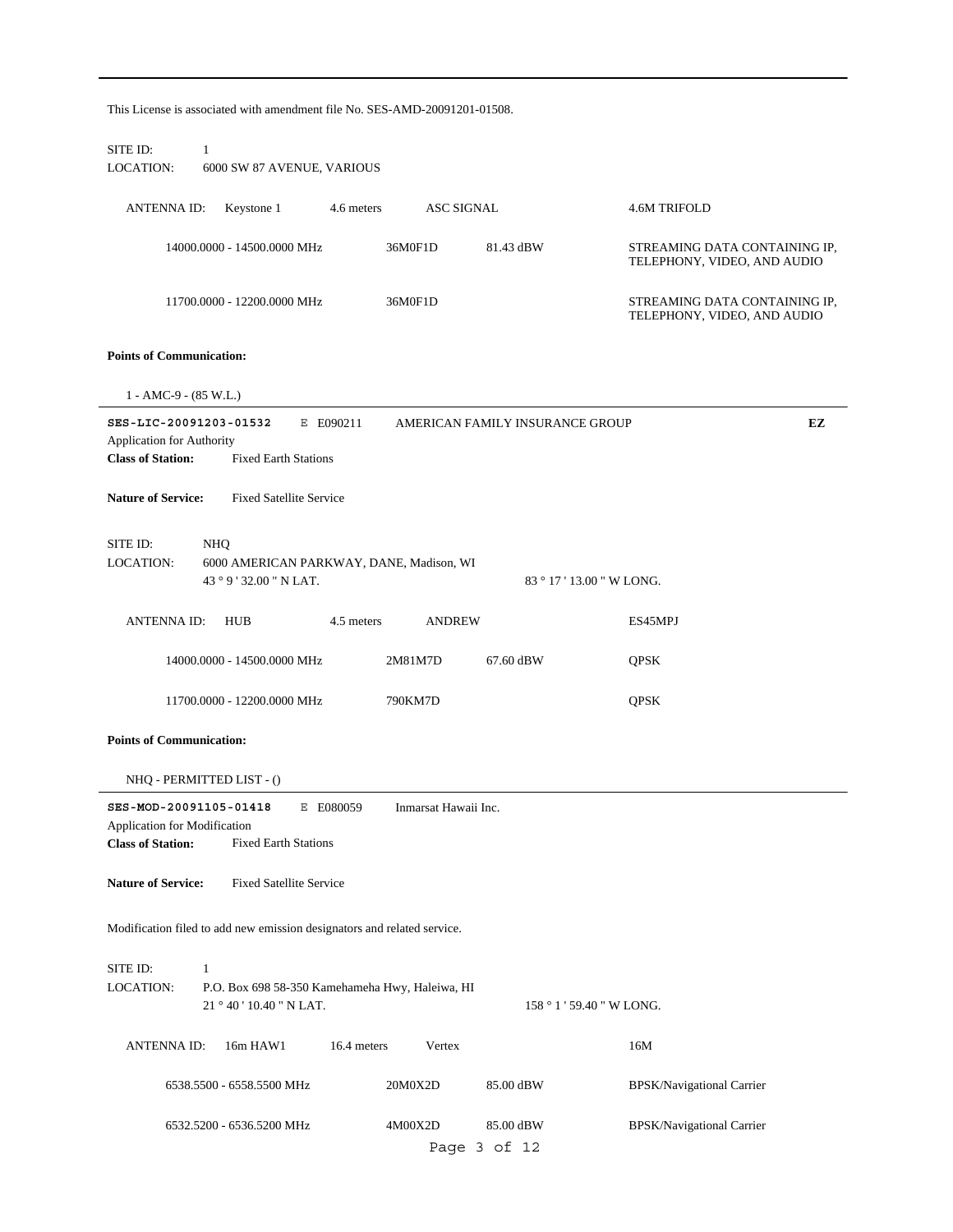| This License is associated with amendment file No. SES-AMD-20091201-01508.                                                         |                      |                                 |                                                              |    |
|------------------------------------------------------------------------------------------------------------------------------------|----------------------|---------------------------------|--------------------------------------------------------------|----|
| SITE ID:<br>1<br>LOCATION:<br>6000 SW 87 AVENUE, VARIOUS                                                                           |                      |                                 |                                                              |    |
| <b>ANTENNA ID:</b><br>Keystone 1<br>4.6 meters                                                                                     | <b>ASC SIGNAL</b>    |                                 | 4.6M TRIFOLD                                                 |    |
| 14000.0000 - 14500.0000 MHz                                                                                                        | 36M0F1D              | 81.43 dBW                       | STREAMING DATA CONTAINING IP,<br>TELEPHONY, VIDEO, AND AUDIO |    |
| 11700.0000 - 12200.0000 MHz                                                                                                        | 36M0F1D              |                                 | STREAMING DATA CONTAINING IP,<br>TELEPHONY, VIDEO, AND AUDIO |    |
| <b>Points of Communication:</b>                                                                                                    |                      |                                 |                                                              |    |
| $1 - AMC-9 - (85 W.L.)$                                                                                                            |                      |                                 |                                                              |    |
| SES-LIC-20091203-01532<br>E E090211<br><b>Application for Authority</b><br><b>Class of Station:</b><br><b>Fixed Earth Stations</b> |                      | AMERICAN FAMILY INSURANCE GROUP |                                                              | EZ |
| <b>Fixed Satellite Service</b><br><b>Nature of Service:</b>                                                                        |                      |                                 |                                                              |    |
| SITE ID:<br>NHQ<br>LOCATION:<br>6000 AMERICAN PARKWAY, DANE, Madison, WI<br>43 ° 9 ' 32.00 " N LAT.                                |                      |                                 | 83 ° 17 ' 13.00 " W LONG.                                    |    |
| <b>ANTENNA ID:</b><br><b>HUB</b><br>4.5 meters                                                                                     | <b>ANDREW</b>        |                                 | ES45MPJ                                                      |    |
| 14000.0000 - 14500.0000 MHz                                                                                                        | 2M81M7D              | 67.60 dBW                       | QPSK                                                         |    |
| 11700.0000 - 12200.0000 MHz                                                                                                        | 790KM7D              |                                 | QPSK                                                         |    |
| <b>Points of Communication:</b>                                                                                                    |                      |                                 |                                                              |    |
| NHQ - PERMITTED LIST - ()                                                                                                          |                      |                                 |                                                              |    |
| SES-MOD-20091105-01418<br>E E080059<br>Application for Modification<br><b>Class of Station:</b><br><b>Fixed Earth Stations</b>     | Inmarsat Hawaii Inc. |                                 |                                                              |    |
| <b>Nature of Service:</b><br><b>Fixed Satellite Service</b>                                                                        |                      |                                 |                                                              |    |
| Modification filed to add new emission designators and related service.                                                            |                      |                                 |                                                              |    |
| SITE ID:<br>$\mathbf{1}$<br><b>LOCATION:</b><br>P.O. Box 698 58-350 Kamehameha Hwy, Haleiwa, HI<br>21 ° 40 ' 10.40 " N LAT.        |                      |                                 | 158 ° 1 ' 59.40 " W LONG.                                    |    |
| 16.4 meters<br><b>ANTENNA ID:</b><br>16m HAW1                                                                                      | Vertex               |                                 | 16M                                                          |    |
| 6538.5500 - 6558.5500 MHz                                                                                                          | 20M0X2D              | 85.00 dBW                       | BPSK/Navigational Carrier                                    |    |
| 6532.5200 - 6536.5200 MHz                                                                                                          | 4M00X2D              | 85.00 dBW<br>Page 3 of 12       | BPSK/Navigational Carrier                                    |    |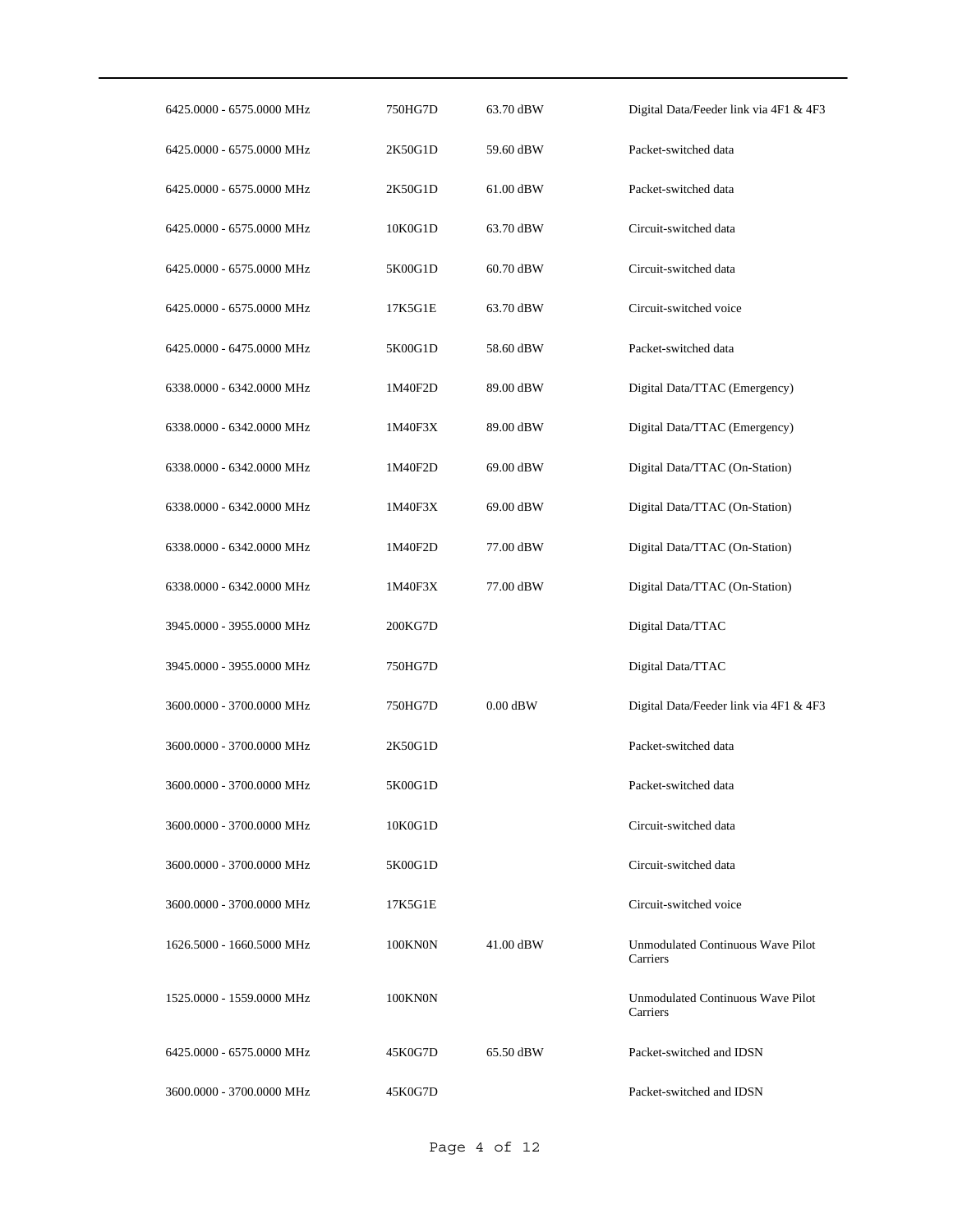| 6425.0000 - 6575.0000 MHz | 750HG7D | 63.70 dBW   | Digital Data/Feeder link via 4F1 & 4F3        |
|---------------------------|---------|-------------|-----------------------------------------------|
| 6425.0000 - 6575.0000 MHz | 2K50G1D | 59.60 dBW   | Packet-switched data                          |
| 6425.0000 - 6575.0000 MHz | 2K50G1D | $61.00$ dBW | Packet-switched data                          |
| 6425.0000 - 6575.0000 MHz | 10K0G1D | 63.70 dBW   | Circuit-switched data                         |
| 6425.0000 - 6575.0000 MHz | 5K00G1D | $60.70$ dBW | Circuit-switched data                         |
| 6425.0000 - 6575.0000 MHz | 17K5G1E | 63.70 dBW   | Circuit-switched voice                        |
| 6425.0000 - 6475.0000 MHz | 5K00G1D | 58.60 dBW   | Packet-switched data                          |
| 6338.0000 - 6342.0000 MHz | 1M40F2D | 89.00 dBW   | Digital Data/TTAC (Emergency)                 |
| 6338.0000 - 6342.0000 MHz | 1M40F3X | 89.00 dBW   | Digital Data/TTAC (Emergency)                 |
| 6338.0000 - 6342.0000 MHz | 1M40F2D | 69.00 dBW   | Digital Data/TTAC (On-Station)                |
| 6338.0000 - 6342.0000 MHz | 1M40F3X | 69.00 dBW   | Digital Data/TTAC (On-Station)                |
| 6338.0000 - 6342.0000 MHz | 1M40F2D | 77.00 dBW   | Digital Data/TTAC (On-Station)                |
| 6338.0000 - 6342.0000 MHz | 1M40F3X | 77.00 dBW   | Digital Data/TTAC (On-Station)                |
| 3945.0000 - 3955.0000 MHz | 200KG7D |             | Digital Data/TTAC                             |
| 3945.0000 - 3955.0000 MHz | 750HG7D |             | Digital Data/TTAC                             |
| 3600.0000 - 3700.0000 MHz | 750HG7D | $0.00$ dBW  | Digital Data/Feeder link via 4F1 & 4F3        |
| 3600.0000 - 3700.0000 MHz | 2K50G1D |             | Packet-switched data                          |
| 3600.0000 - 3700.0000 MHz | 5K00G1D |             | Packet-switched data                          |
| 3600.0000 - 3700.0000 MHz | 10K0G1D |             | Circuit-switched data                         |
| 3600.0000 - 3700.0000 MHz | 5K00G1D |             | Circuit-switched data                         |
| 3600.0000 - 3700.0000 MHz | 17K5G1E |             | Circuit-switched voice                        |
| 1626.5000 - 1660.5000 MHz | 100KN0N | 41.00 dBW   | Unmodulated Continuous Wave Pilot<br>Carriers |
| 1525.0000 - 1559.0000 MHz | 100KN0N |             | Unmodulated Continuous Wave Pilot<br>Carriers |
| 6425.0000 - 6575.0000 MHz | 45K0G7D | 65.50 dBW   | Packet-switched and IDSN                      |
| 3600.0000 - 3700.0000 MHz | 45K0G7D |             | Packet-switched and IDSN                      |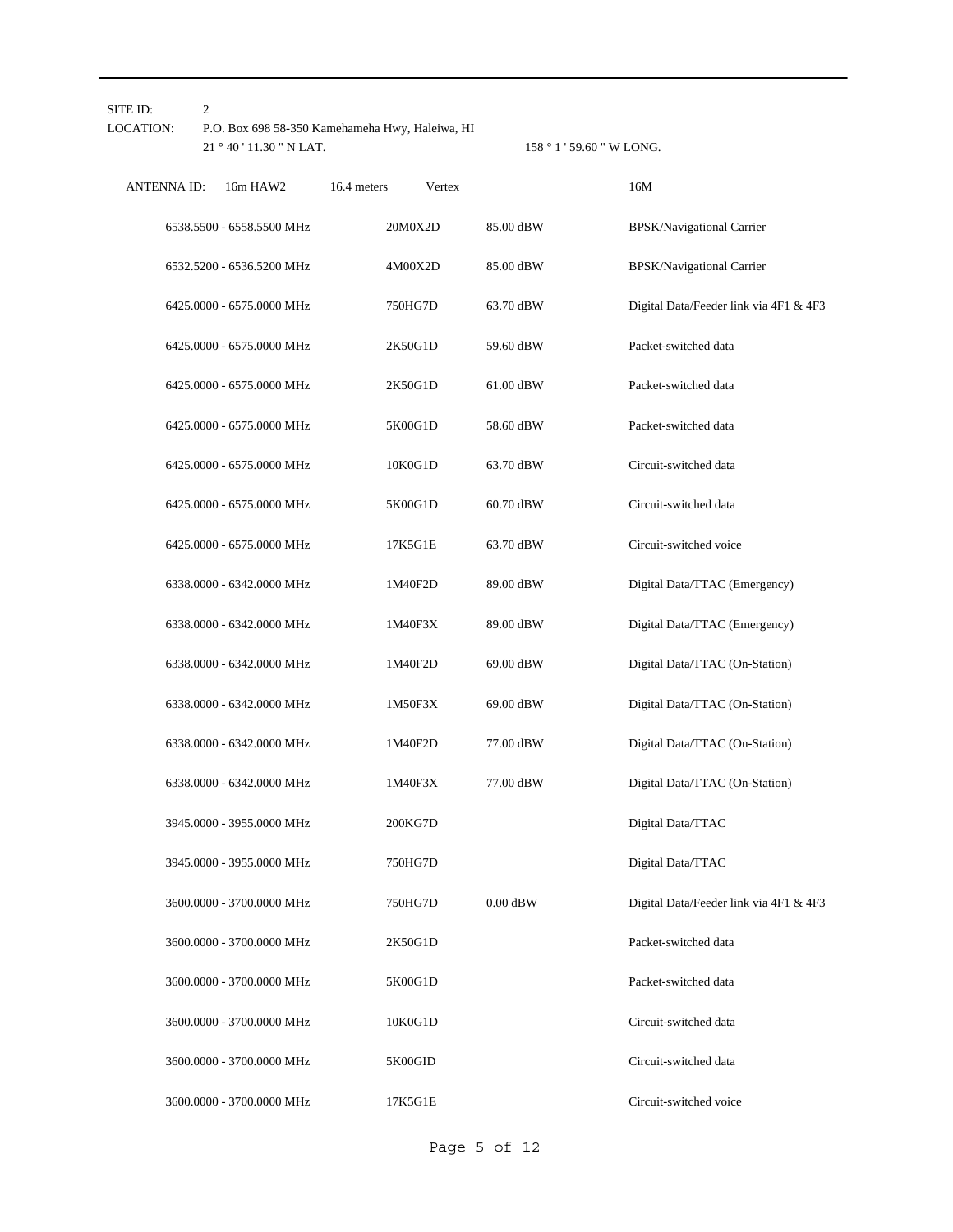| $\overline{c}$<br>SITE ID: |                           |                                                 |                           |                                        |
|----------------------------|---------------------------|-------------------------------------------------|---------------------------|----------------------------------------|
| LOCATION:                  |                           | P.O. Box 698 58-350 Kamehameha Hwy, Haleiwa, HI |                           |                                        |
|                            | 21 ° 40 ' 11.30 " N LAT.  |                                                 | 158 ° 1 ' 59.60 " W LONG. |                                        |
| <b>ANTENNA ID:</b>         | 16m HAW2                  | 16.4 meters<br>Vertex                           |                           | 16M                                    |
|                            | 6538.5500 - 6558.5500 MHz | 20M0X2D                                         | 85.00 dBW                 | BPSK/Navigational Carrier              |
|                            | 6532.5200 - 6536.5200 MHz | 4M00X2D                                         | 85.00 dBW                 | <b>BPSK/Navigational Carrier</b>       |
|                            | 6425.0000 - 6575.0000 MHz | 750HG7D                                         | 63.70 dBW                 | Digital Data/Feeder link via 4F1 & 4F3 |
|                            | 6425.0000 - 6575.0000 MHz | 2K50G1D                                         | 59.60 dBW                 | Packet-switched data                   |
|                            | 6425.0000 - 6575.0000 MHz | 2K50G1D                                         | 61.00 dBW                 | Packet-switched data                   |
|                            | 6425.0000 - 6575.0000 MHz | 5K00G1D                                         | 58.60 dBW                 | Packet-switched data                   |
|                            | 6425.0000 - 6575.0000 MHz | 10K0G1D                                         | 63.70 dBW                 | Circuit-switched data                  |
|                            | 6425.0000 - 6575.0000 MHz | 5K00G1D                                         | 60.70 dBW                 | Circuit-switched data                  |
|                            | 6425.0000 - 6575.0000 MHz | 17K5G1E                                         | 63.70 dBW                 | Circuit-switched voice                 |
|                            | 6338.0000 - 6342.0000 MHz | 1M40F2D                                         | 89.00 dBW                 | Digital Data/TTAC (Emergency)          |
|                            | 6338.0000 - 6342.0000 MHz | 1M40F3X                                         | 89.00 dBW                 | Digital Data/TTAC (Emergency)          |
|                            | 6338.0000 - 6342.0000 MHz | 1M40F2D                                         | 69.00 dBW                 | Digital Data/TTAC (On-Station)         |
|                            | 6338.0000 - 6342.0000 MHz | 1M50F3X                                         | 69.00 dBW                 | Digital Data/TTAC (On-Station)         |
|                            | 6338.0000 - 6342.0000 MHz | 1M40F2D                                         | 77.00 dBW                 | Digital Data/TTAC (On-Station)         |
|                            | 6338.0000 - 6342.0000 MHz | 1M40F3X                                         | 77.00 dBW                 | Digital Data/TTAC (On-Station)         |
|                            | 3945.0000 - 3955.0000 MHz | 200KG7D                                         |                           | Digital Data/TTAC                      |
|                            | 3945.0000 - 3955.0000 MHz | 750HG7D                                         |                           | Digital Data/TTAC                      |
|                            | 3600.0000 - 3700.0000 MHz | 750HG7D                                         | $0.00$ dBW                | Digital Data/Feeder link via 4F1 & 4F3 |
|                            | 3600.0000 - 3700.0000 MHz | 2K50G1D                                         |                           | Packet-switched data                   |
|                            | 3600.0000 - 3700.0000 MHz | 5K00G1D                                         |                           | Packet-switched data                   |
|                            | 3600.0000 - 3700.0000 MHz | 10K0G1D                                         |                           | Circuit-switched data                  |
|                            | 3600.0000 - 3700.0000 MHz | 5K00GID                                         |                           | Circuit-switched data                  |
|                            | 3600.0000 - 3700.0000 MHz | 17K5G1E                                         |                           | Circuit-switched voice                 |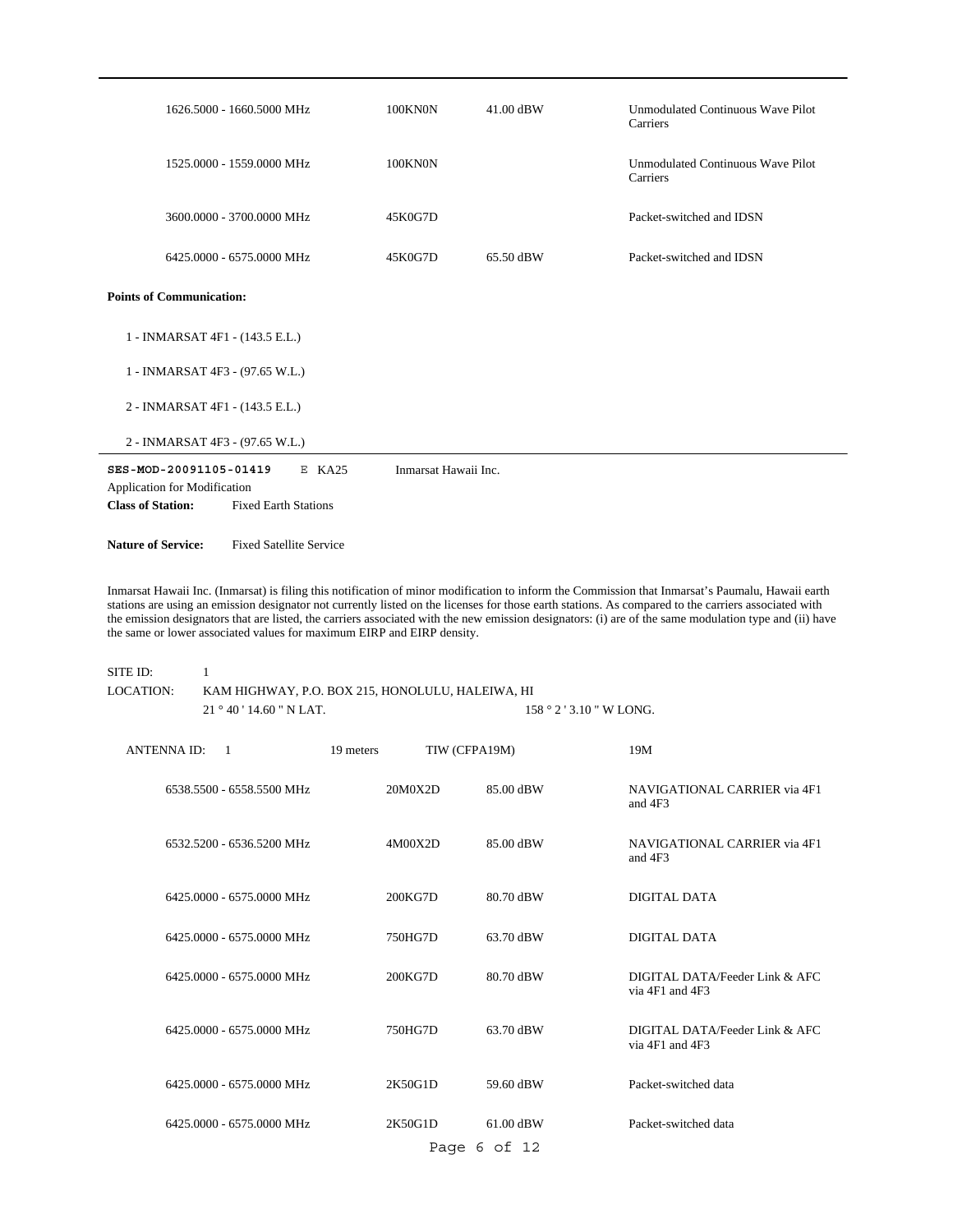| 1626.5000 - 1660.5000 MHz                                                                                                     | 100KN0N              | 41.00 dBW | Unmodulated Continuous Wave Pilot<br>Carriers |
|-------------------------------------------------------------------------------------------------------------------------------|----------------------|-----------|-----------------------------------------------|
| 1525,0000 - 1559,0000 MHz                                                                                                     | <b>100KN0N</b>       |           | Unmodulated Continuous Wave Pilot<br>Carriers |
| 3600.0000 - 3700.0000 MHz                                                                                                     | 45K0G7D              |           | Packet-switched and IDSN                      |
| 6425,0000 - 6575,0000 MHz                                                                                                     | 45K0G7D              | 65.50 dBW | Packet-switched and IDSN                      |
| <b>Points of Communication:</b>                                                                                               |                      |           |                                               |
| 1 - INMARSAT 4F1 - (143.5 E.L.)                                                                                               |                      |           |                                               |
| 1 - INMARSAT 4F3 - (97.65 W.L.)                                                                                               |                      |           |                                               |
| 2 - INMARSAT 4F1 - (143.5 E.L.)                                                                                               |                      |           |                                               |
| 2 - INMARSAT 4F3 - (97.65 W.L.)                                                                                               |                      |           |                                               |
| SES-MOD-20091105-01419<br>$E$ KA25<br>Application for Modification<br><b>Class of Station:</b><br><b>Fixed Earth Stations</b> | Inmarsat Hawaii Inc. |           |                                               |

**Nature of Service:** Fixed Satellite Service

Inmarsat Hawaii Inc. (Inmarsat) is filing this notification of minor modification to inform the Commission that Inmarsat's Paumalu, Hawaii earth stations are using an emission designator not currently listed on the licenses for those earth stations. As compared to the carriers associated with the emission designators that are listed, the carriers associated with the new emission designators: (i) are of the same modulation type and (ii) have the same or lower associated values for maximum EIRP and EIRP density.

#### 21  $^{\circ}$  40 ' 14.60 " N LAT. SITE ID: 1 KAM HIGHWAY, P.O. BOX 215, HONOLULU, HALEIWA, HI 158 ° 2 ' 3.10 " W LONG. LOCATION:

| <b>ANTENNA ID:</b><br>$\overline{1}$ | TIW (CFPA19M)<br>19 meters |              | 19M                                                   |
|--------------------------------------|----------------------------|--------------|-------------------------------------------------------|
| 6538.5500 - 6558.5500 MHz            | 20M0X2D                    | 85.00 dBW    | NAVIGATIONAL CARRIER via 4F1<br>and 4F3               |
| 6532.5200 - 6536.5200 MHz            | 4M00X2D                    | 85.00 dBW    | NAVIGATIONAL CARRIER via 4F1<br>and $4F3$             |
| 6425,0000 - 6575,0000 MHz            | 200KG7D                    | 80.70 dBW    | DIGITAL DATA                                          |
| 6425,0000 - 6575,0000 MHz            | 750HG7D                    | 63.70 dBW    | DIGITAL DATA                                          |
| 6425,0000 - 6575,0000 MHz            | 200KG7D                    | 80.70 dBW    | DIGITAL DATA/Feeder Link & AFC<br>via $4F1$ and $4F3$ |
| 6425,0000 - 6575,0000 MHz            | 750HG7D                    | 63.70 dBW    | DIGITAL DATA/Feeder Link & AFC<br>via 4F1 and 4F3     |
| 6425,0000 - 6575,0000 MHz            | 2K50G1D                    | 59.60 dBW    | Packet-switched data                                  |
| 6425,0000 - 6575,0000 MHz            | 2K50G1D                    | 61.00 dBW    | Packet-switched data                                  |
|                                      |                            | Page 6 of 12 |                                                       |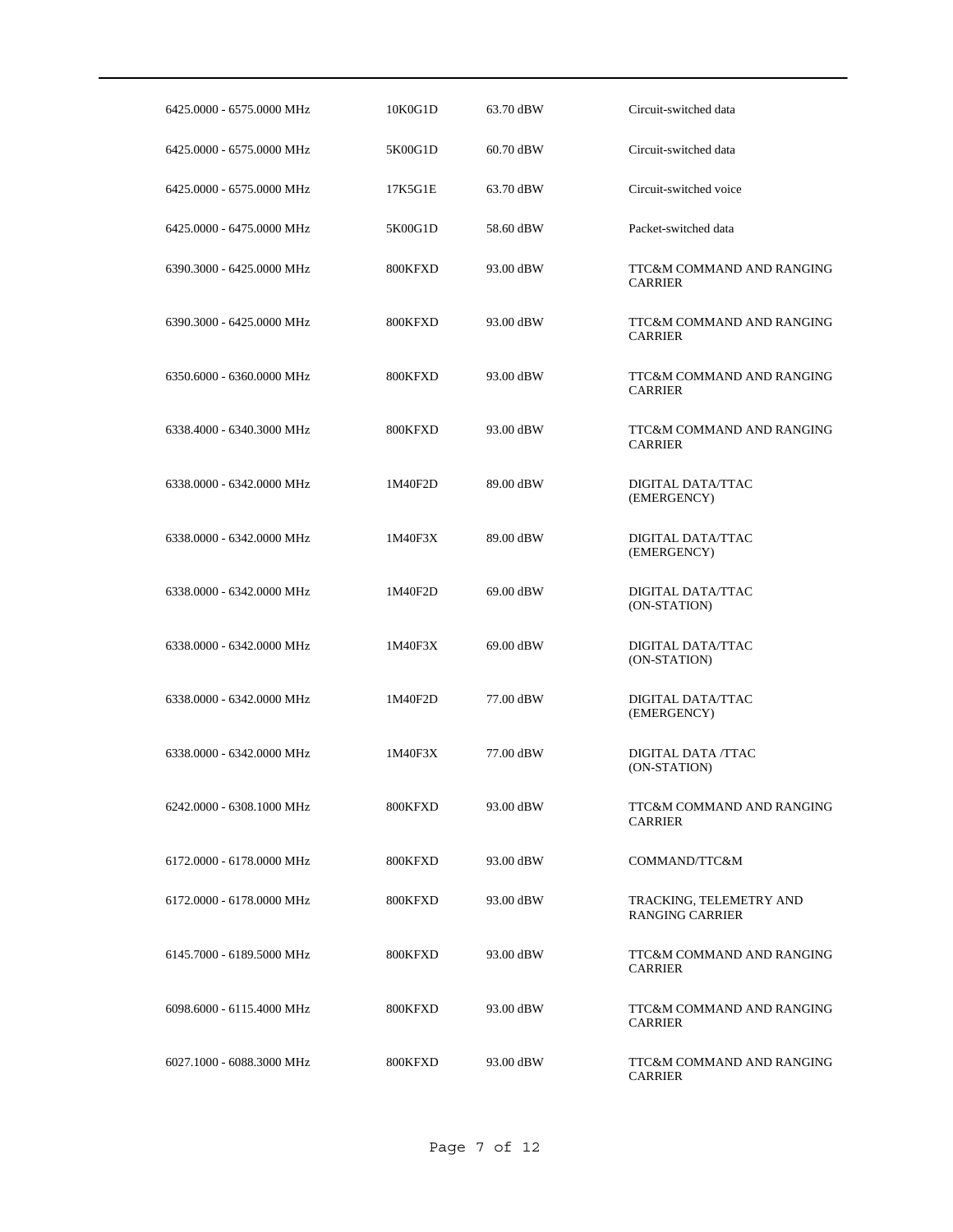| 6425.0000 - 6575.0000 MHz | 10K0G1D | 63.70 dBW | Circuit-switched data                             |
|---------------------------|---------|-----------|---------------------------------------------------|
| 6425,0000 - 6575,0000 MHz | 5K00G1D | 60.70 dBW | Circuit-switched data                             |
| 6425.0000 - 6575.0000 MHz | 17K5G1E | 63.70 dBW | Circuit-switched voice                            |
| 6425.0000 - 6475.0000 MHz | 5K00G1D | 58.60 dBW | Packet-switched data                              |
| 6390.3000 - 6425.0000 MHz | 800KFXD | 93.00 dBW | TTC&M COMMAND AND RANGING<br><b>CARRIER</b>       |
| 6390.3000 - 6425.0000 MHz | 800KFXD | 93.00 dBW | TTC&M COMMAND AND RANGING<br><b>CARRIER</b>       |
| 6350.6000 - 6360.0000 MHz | 800KFXD | 93.00 dBW | TTC&M COMMAND AND RANGING<br><b>CARRIER</b>       |
| 6338.4000 - 6340.3000 MHz | 800KFXD | 93.00 dBW | TTC&M COMMAND AND RANGING<br><b>CARRIER</b>       |
| 6338.0000 - 6342.0000 MHz | 1M40F2D | 89.00 dBW | DIGITAL DATA/TTAC<br>(EMERGENCY)                  |
| 6338.0000 - 6342.0000 MHz | 1M40F3X | 89.00 dBW | DIGITAL DATA/TTAC<br>(EMERGENCY)                  |
| 6338.0000 - 6342.0000 MHz | 1M40F2D | 69.00 dBW | DIGITAL DATA/TTAC<br>(ON-STATION)                 |
| 6338.0000 - 6342.0000 MHz | 1M40F3X | 69.00 dBW | DIGITAL DATA/TTAC<br>(ON-STATION)                 |
| 6338.0000 - 6342.0000 MHz | 1M40F2D | 77.00 dBW | DIGITAL DATA/TTAC<br>(EMERGENCY)                  |
| 6338.0000 - 6342.0000 MHz | 1M40F3X | 77.00 dBW | DIGITAL DATA /TTAC<br>(ON-STATION)                |
| 6242.0000 - 6308.1000 MHz | 800KFXD | 93.00 dBW | TTC&M COMMAND AND RANGING<br><b>CARRIER</b>       |
| 6172.0000 - 6178.0000 MHz | 800KFXD | 93.00 dBW | COMMAND/TTC&M                                     |
| 6172.0000 - 6178.0000 MHz | 800KFXD | 93.00 dBW | TRACKING, TELEMETRY AND<br><b>RANGING CARRIER</b> |
| 6145.7000 - 6189.5000 MHz | 800KFXD | 93.00 dBW | TTC&M COMMAND AND RANGING<br><b>CARRIER</b>       |
| 6098.6000 - 6115.4000 MHz | 800KFXD | 93.00 dBW | TTC&M COMMAND AND RANGING<br><b>CARRIER</b>       |
| 6027.1000 - 6088.3000 MHz | 800KFXD | 93.00 dBW | TTC&M COMMAND AND RANGING<br>CARRIER              |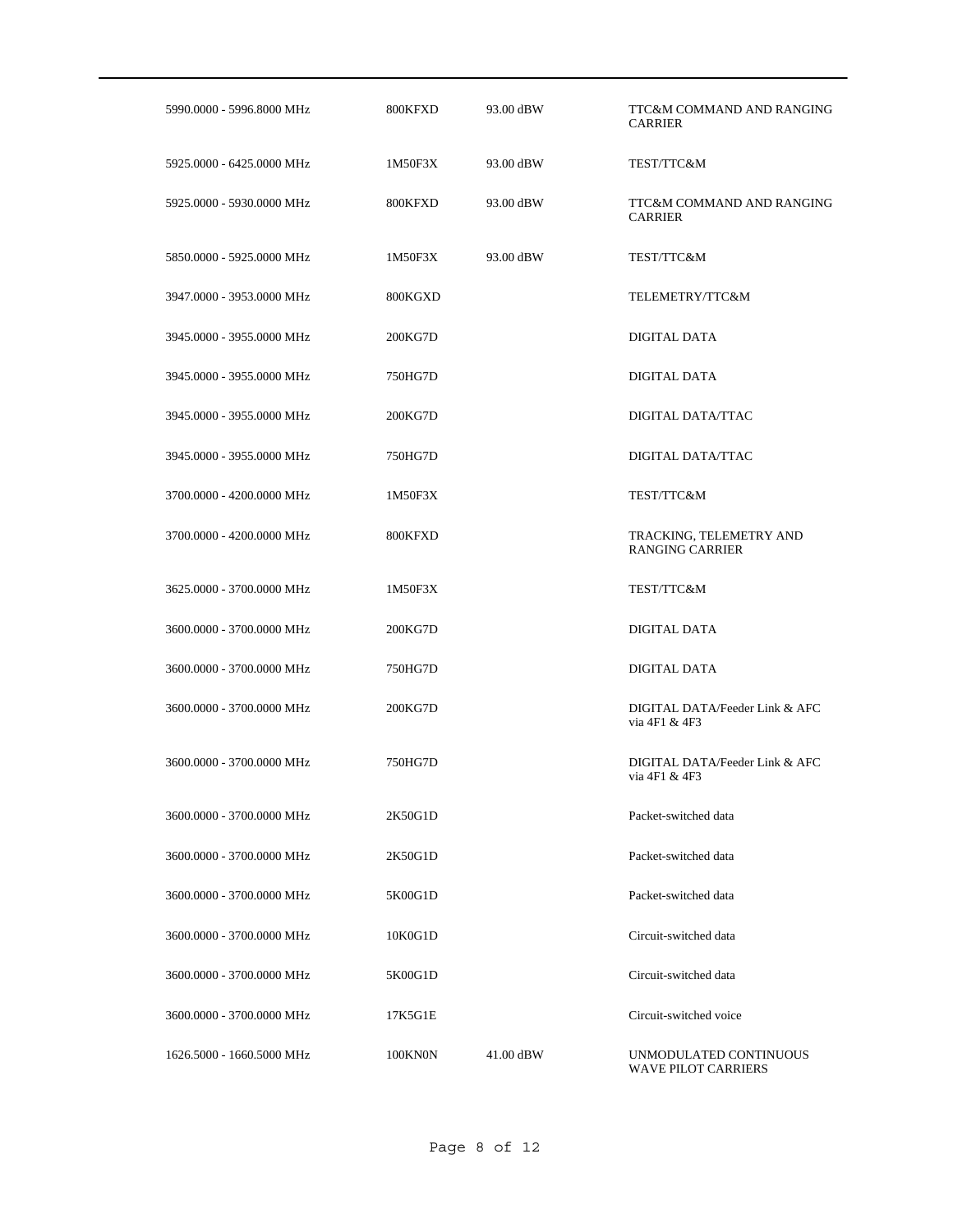| 5990.0000 - 5996.8000 MHz | 800KFXD | 93.00 dBW | TTC&M COMMAND AND RANGING<br><b>CARRIER</b>          |
|---------------------------|---------|-----------|------------------------------------------------------|
| 5925.0000 - 6425.0000 MHz | 1M50F3X | 93.00 dBW | TEST/TTC&M                                           |
| 5925,0000 - 5930,0000 MHz | 800KFXD | 93.00 dBW | TTC&M COMMAND AND RANGING<br><b>CARRIER</b>          |
| 5850,0000 - 5925,0000 MHz | 1M50F3X | 93.00 dBW | TEST/TTC&M                                           |
| 3947.0000 - 3953.0000 MHz | 800KGXD |           | TELEMETRY/TTC&M                                      |
| 3945.0000 - 3955.0000 MHz | 200KG7D |           | DIGITAL DATA                                         |
| 3945.0000 - 3955.0000 MHz | 750HG7D |           | DIGITAL DATA                                         |
| 3945.0000 - 3955.0000 MHz | 200KG7D |           | DIGITAL DATA/TTAC                                    |
| 3945.0000 - 3955.0000 MHz | 750HG7D |           | DIGITAL DATA/TTAC                                    |
| 3700.0000 - 4200.0000 MHz | 1M50F3X |           | TEST/TTC&M                                           |
| 3700.0000 - 4200.0000 MHz | 800KFXD |           | TRACKING, TELEMETRY AND<br><b>RANGING CARRIER</b>    |
| 3625.0000 - 3700.0000 MHz | 1M50F3X |           | TEST/TTC&M                                           |
| 3600.0000 - 3700.0000 MHz | 200KG7D |           | DIGITAL DATA                                         |
| 3600.0000 - 3700.0000 MHz | 750HG7D |           | DIGITAL DATA                                         |
| 3600.0000 - 3700.0000 MHz | 200KG7D |           | DIGITAL DATA/Feeder Link & AFC<br>via 4F1 & 4F3      |
| 3600.0000 - 3700.0000 MHz | 750HG7D |           | DIGITAL DATA/Feeder Link & AFC<br>via 4F1 & 4F3      |
| 3600,0000 - 3700,0000 MHz | 2K50G1D |           | Packet-switched data                                 |
| 3600.0000 - 3700.0000 MHz | 2K50G1D |           | Packet-switched data                                 |
| 3600.0000 - 3700.0000 MHz | 5K00G1D |           | Packet-switched data                                 |
| 3600.0000 - 3700.0000 MHz | 10K0G1D |           | Circuit-switched data                                |
| 3600.0000 - 3700.0000 MHz | 5K00G1D |           | Circuit-switched data                                |
| 3600.0000 - 3700.0000 MHz | 17K5G1E |           | Circuit-switched voice                               |
| 1626.5000 - 1660.5000 MHz | 100KN0N | 41.00 dBW | UNMODULATED CONTINUOUS<br><b>WAVE PILOT CARRIERS</b> |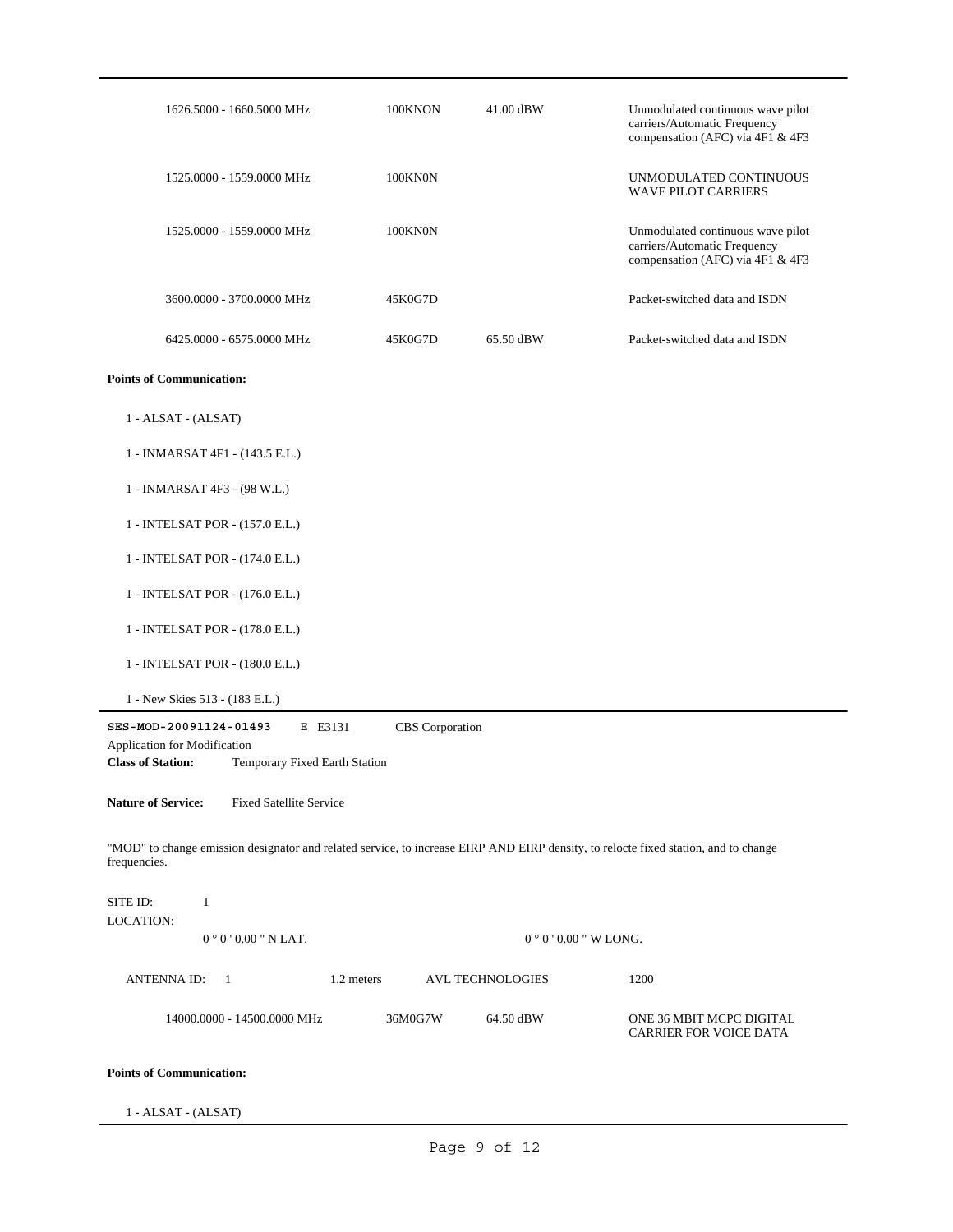| 1626.5000 - 1660.5000 MHz                                                                                                                           | 100KNON         | 41.00 dBW               | Unmodulated continuous wave pilot<br>carriers/Automatic Frequency<br>compensation (AFC) via 4F1 & 4F3 |
|-----------------------------------------------------------------------------------------------------------------------------------------------------|-----------------|-------------------------|-------------------------------------------------------------------------------------------------------|
| 1525.0000 - 1559.0000 MHz                                                                                                                           | 100KN0N         |                         | UNMODULATED CONTINUOUS<br><b>WAVE PILOT CARRIERS</b>                                                  |
| 1525.0000 - 1559.0000 MHz                                                                                                                           | 100KN0N         |                         | Unmodulated continuous wave pilot<br>carriers/Automatic Frequency<br>compensation (AFC) via 4F1 & 4F3 |
| 3600.0000 - 3700.0000 MHz                                                                                                                           | 45K0G7D         |                         | Packet-switched data and ISDN                                                                         |
| 6425.0000 - 6575.0000 MHz                                                                                                                           | 45K0G7D         | 65.50 dBW               | Packet-switched data and ISDN                                                                         |
| <b>Points of Communication:</b>                                                                                                                     |                 |                         |                                                                                                       |
| 1 - ALSAT - (ALSAT)                                                                                                                                 |                 |                         |                                                                                                       |
| 1 - INMARSAT 4F1 - (143.5 E.L.)                                                                                                                     |                 |                         |                                                                                                       |
| 1 - INMARSAT 4F3 - (98 W.L.)                                                                                                                        |                 |                         |                                                                                                       |
| 1 - INTELSAT POR - (157.0 E.L.)                                                                                                                     |                 |                         |                                                                                                       |
| 1 - INTELSAT POR - (174.0 E.L.)                                                                                                                     |                 |                         |                                                                                                       |
| 1 - INTELSAT POR - (176.0 E.L.)                                                                                                                     |                 |                         |                                                                                                       |
| 1 - INTELSAT POR - (178.0 E.L.)                                                                                                                     |                 |                         |                                                                                                       |
| 1 - INTELSAT POR - (180.0 E.L.)                                                                                                                     |                 |                         |                                                                                                       |
| 1 - New Skies 513 - (183 E.L.)                                                                                                                      |                 |                         |                                                                                                       |
| SES-MOD-20091124-01493<br>E E3131<br>Application for Modification<br><b>Class of Station:</b><br>Temporary Fixed Earth Station                      | CBS Corporation |                         |                                                                                                       |
| <b>Nature of Service:</b><br><b>Fixed Satellite Service</b>                                                                                         |                 |                         |                                                                                                       |
| "MOD" to change emission designator and related service, to increase EIRP AND EIRP density, to relocte fixed station, and to change<br>frequencies. |                 |                         |                                                                                                       |
| SITE ID:<br>$\mathbf{1}$<br><b>LOCATION:</b>                                                                                                        |                 |                         |                                                                                                       |
| $0°0'0.00"$ N LAT.                                                                                                                                  |                 | $0°0'0.00''$ W LONG.    |                                                                                                       |
| <b>ANTENNA ID:</b><br>1.2 meters<br>$\mathbf{1}$                                                                                                    |                 | <b>AVL TECHNOLOGIES</b> | 1200                                                                                                  |
| 14000.0000 - 14500.0000 MHz                                                                                                                         | 36M0G7W         | 64.50 dBW               | ONE 36 MBIT MCPC DIGITAL<br>CARRIER FOR VOICE DATA                                                    |
| <b>Points of Communication:</b>                                                                                                                     |                 |                         |                                                                                                       |

1 - ALSAT - (ALSAT)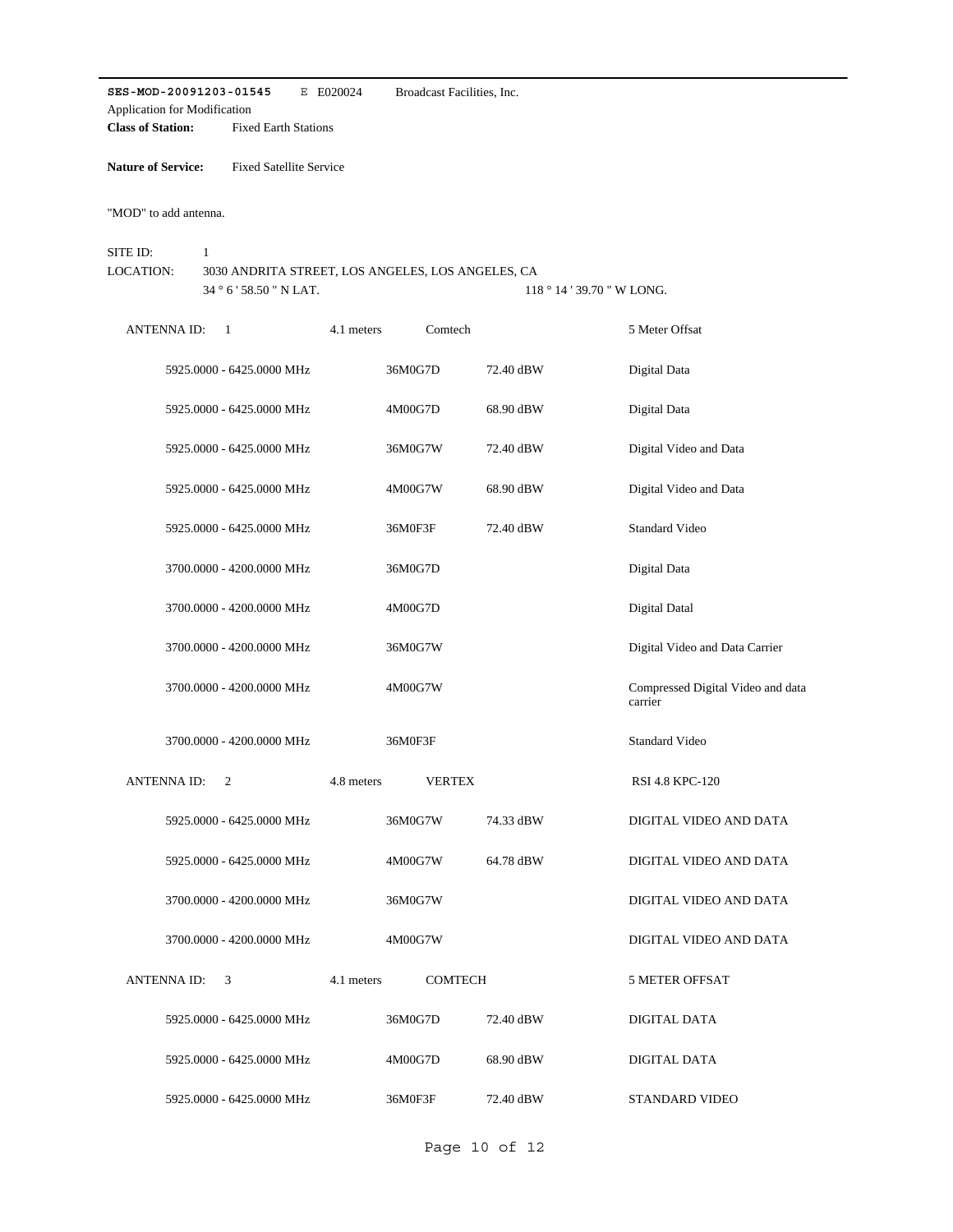**SES-MOD-20091203-01545** E E020024 **Class of Station:** Fixed Earth Stations Application for Modification Broadcast Facilities, Inc.

**Nature of Service:** Fixed Satellite Service

"MOD" to add antenna.

 $34$   $^{\circ}$  6  $^{\prime}$  58.50  $^{\prime\prime}$  N LAT. SITE ID: 1 3030 ANDRITA STREET, LOS ANGELES, LOS ANGELES, CA  $118$   $^{\circ}$   $14$  '  $39.70$  " W LONG. LOCATION:

| <b>ANTENNA ID:</b> | 1                         | 4.1 meters | Comtech       |           | 5 Meter Offsat                               |
|--------------------|---------------------------|------------|---------------|-----------|----------------------------------------------|
|                    | 5925.0000 - 6425.0000 MHz |            | 36M0G7D       | 72.40 dBW | Digital Data                                 |
|                    | 5925.0000 - 6425.0000 MHz |            | 4M00G7D       | 68.90 dBW | Digital Data                                 |
|                    | 5925.0000 - 6425.0000 MHz |            | 36M0G7W       | 72.40 dBW | Digital Video and Data                       |
|                    | 5925.0000 - 6425.0000 MHz |            | 4M00G7W       | 68.90 dBW | Digital Video and Data                       |
|                    | 5925.0000 - 6425.0000 MHz |            | 36M0F3F       | 72.40 dBW | <b>Standard Video</b>                        |
|                    | 3700.0000 - 4200.0000 MHz |            | 36M0G7D       |           | Digital Data                                 |
|                    | 3700.0000 - 4200.0000 MHz |            | 4M00G7D       |           | Digital Datal                                |
|                    | 3700.0000 - 4200.0000 MHz |            | 36M0G7W       |           | Digital Video and Data Carrier               |
|                    | 3700.0000 - 4200.0000 MHz |            | 4M00G7W       |           | Compressed Digital Video and data<br>carrier |
|                    | 3700.0000 - 4200.0000 MHz |            | 36M0F3F       |           | <b>Standard Video</b>                        |
| <b>ANTENNAID:</b>  | 2                         | 4.8 meters | <b>VERTEX</b> |           | RSI 4.8 KPC-120                              |
|                    | 5925.0000 - 6425.0000 MHz |            | 36M0G7W       | 74.33 dBW | DIGITAL VIDEO AND DATA                       |
|                    | 5925.0000 - 6425.0000 MHz |            | 4M00G7W       | 64.78 dBW | DIGITAL VIDEO AND DATA                       |
|                    | 3700.0000 - 4200.0000 MHz |            | 36M0G7W       |           | DIGITAL VIDEO AND DATA                       |
|                    | 3700.0000 - 4200.0000 MHz |            | 4M00G7W       |           | DIGITAL VIDEO AND DATA                       |
| <b>ANTENNAID:</b>  | 3                         | 4.1 meters | COMTECH       |           | <b>5 METER OFFSAT</b>                        |
|                    | 5925.0000 - 6425.0000 MHz |            | 36M0G7D       | 72.40 dBW | DIGITAL DATA                                 |
|                    | 5925.0000 - 6425.0000 MHz |            | 4M00G7D       | 68.90 dBW | DIGITAL DATA                                 |
|                    | 5925.0000 - 6425.0000 MHz |            | 36M0F3F       | 72.40 dBW | STANDARD VIDEO                               |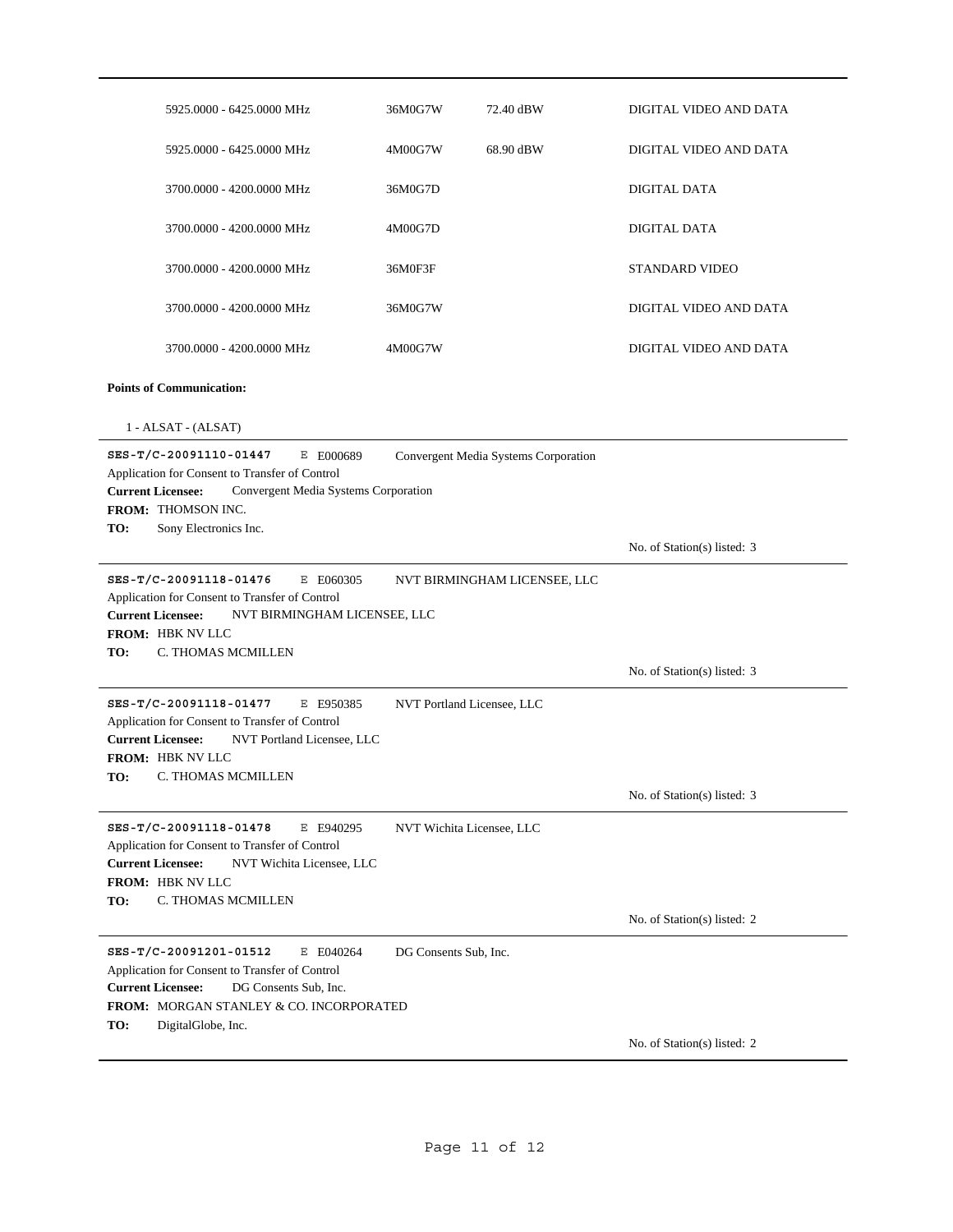| 5925.0000 - 6425.0000 MHz                                                                                                                                                                          | 36M0G7W                    | 72.40 dBW                            | DIGITAL VIDEO AND DATA      |
|----------------------------------------------------------------------------------------------------------------------------------------------------------------------------------------------------|----------------------------|--------------------------------------|-----------------------------|
| 5925.0000 - 6425.0000 MHz                                                                                                                                                                          | 4M00G7W                    | 68.90 dBW                            | DIGITAL VIDEO AND DATA      |
| 3700.0000 - 4200.0000 MHz                                                                                                                                                                          | 36M0G7D                    |                                      | DIGITAL DATA                |
| 3700.0000 - 4200.0000 MHz                                                                                                                                                                          | 4M00G7D                    |                                      | DIGITAL DATA                |
| 3700.0000 - 4200.0000 MHz                                                                                                                                                                          | 36M0F3F                    |                                      | <b>STANDARD VIDEO</b>       |
| 3700.0000 - 4200.0000 MHz                                                                                                                                                                          | 36M0G7W                    |                                      | DIGITAL VIDEO AND DATA      |
| 3700.0000 - 4200.0000 MHz                                                                                                                                                                          | 4M00G7W                    |                                      | DIGITAL VIDEO AND DATA      |
| <b>Points of Communication:</b>                                                                                                                                                                    |                            |                                      |                             |
| 1 - ALSAT - (ALSAT)                                                                                                                                                                                |                            |                                      |                             |
| SES-T/C-20091110-01447<br>E E000689<br>Application for Consent to Transfer of Control<br><b>Current Licensee:</b><br>Convergent Media Systems Corporation<br><b>FROM: THOMSON INC.</b>             |                            | Convergent Media Systems Corporation |                             |
| TO:<br>Sony Electronics Inc.                                                                                                                                                                       |                            |                                      | No. of Station(s) listed: 3 |
| SES-T/C-20091118-01476<br>E E060305<br>Application for Consent to Transfer of Control<br><b>Current Licensee:</b><br>NVT BIRMINGHAM LICENSEE, LLC<br>FROM: HBK NV LLC<br>TO:<br>C. THOMAS MCMILLEN |                            | NVT BIRMINGHAM LICENSEE, LLC         |                             |
|                                                                                                                                                                                                    |                            |                                      | No. of Station(s) listed: 3 |
| SES-T/C-20091118-01477<br>E E950385<br>Application for Consent to Transfer of Control<br>NVT Portland Licensee, LLC<br><b>Current Licensee:</b><br>FROM: HBK NV LLC<br>TO:<br>C. THOMAS MCMILLEN   | NVT Portland Licensee, LLC |                                      |                             |
|                                                                                                                                                                                                    |                            |                                      | No. of Station(s) listed: 3 |
| SES-T/C-20091118-01478<br>E E940295<br>Application for Consent to Transfer of Control<br><b>Current Licensee:</b><br>NVT Wichita Licensee, LLC<br>FROM: HBK NV LLC<br>TO:<br>C. THOMAS MCMILLEN    | NVT Wichita Licensee, LLC  |                                      |                             |
|                                                                                                                                                                                                    |                            |                                      |                             |
|                                                                                                                                                                                                    |                            |                                      | No. of Station(s) listed: 2 |
| SES-T/C-20091201-01512<br>E E040264<br>Application for Consent to Transfer of Control<br><b>Current Licensee:</b><br>DG Consents Sub, Inc.<br>FROM: MORGAN STANLEY & CO. INCORPORATED              | DG Consents Sub, Inc.      |                                      |                             |
| TO:<br>DigitalGlobe, Inc.                                                                                                                                                                          |                            |                                      | No. of Station(s) listed: 2 |